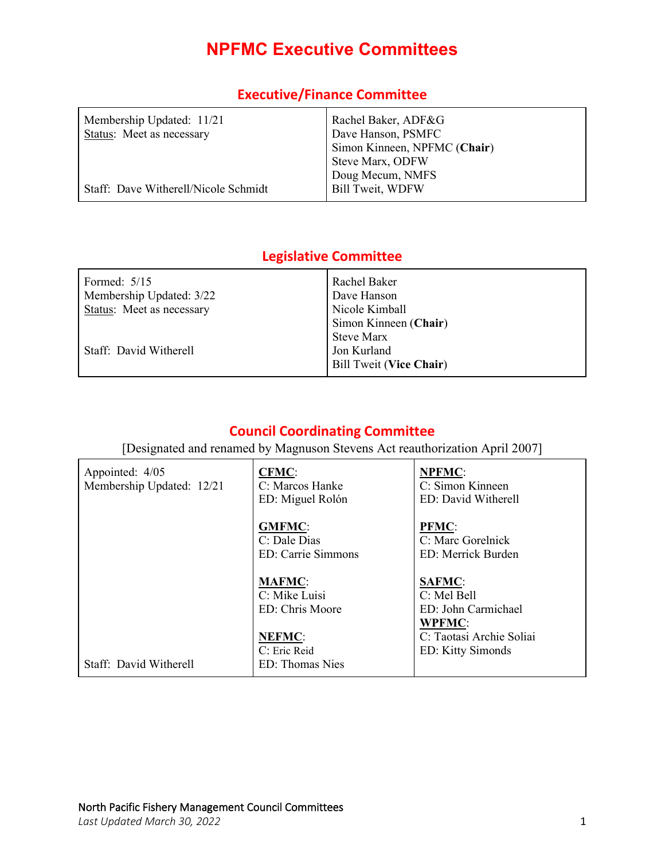# **NPFMC Executive Committees**

| Membership Updated: 11/21            | Rachel Baker, ADF&G          |
|--------------------------------------|------------------------------|
| Status: Meet as necessary            | Dave Hanson, PSMFC           |
|                                      | Simon Kinneen, NPFMC (Chair) |
|                                      | Steve Marx, ODFW             |
|                                      | Doug Mecum, NMFS             |
| Staff: Dave Witherell/Nicole Schmidt | <b>Bill Tweit, WDFW</b>      |

### **Executive/Finance Committee**

### **Legislative Committee**

| Formed: $5/15$            | Rachel Baker                   |
|---------------------------|--------------------------------|
| Membership Updated: 3/22  | Dave Hanson                    |
| Status: Meet as necessary | Nicole Kimball                 |
|                           | Simon Kinneen (Chair)          |
|                           | <b>Steve Marx</b>              |
| Staff: David Witherell    | Jon Kurland                    |
|                           | <b>Bill Tweit (Vice Chair)</b> |
|                           |                                |

### **Council Coordinating Committee**

[Designated and renamed by Magnuson Stevens Act reauthorization April 2007]

| Appointed: 4/05<br>Membership Updated: 12/21 | <b>CFMC:</b><br>C: Marcos Hanke<br>ED: Miguel Rolón | <b>NPFMC:</b><br>C: Simon Kinneen<br>ED: David Witherell       |
|----------------------------------------------|-----------------------------------------------------|----------------------------------------------------------------|
|                                              | <b>GMFMC:</b><br>C: Dale Dias<br>ED: Carrie Simmons | <b>PFMC:</b><br>C: Marc Gorelnick<br>ED: Merrick Burden        |
|                                              | <b>MAFMC:</b><br>C: Mike Luisi<br>ED: Chris Moore   | <b>SAFMC:</b><br>C: Mel Bell<br>ED: John Carmichael            |
| Staff: David Witherell                       | <b>NEFMC:</b><br>C: Eric Reid<br>ED: Thomas Nies    | <b>WPFMC:</b><br>C: Taotasi Archie Soliai<br>ED: Kitty Simonds |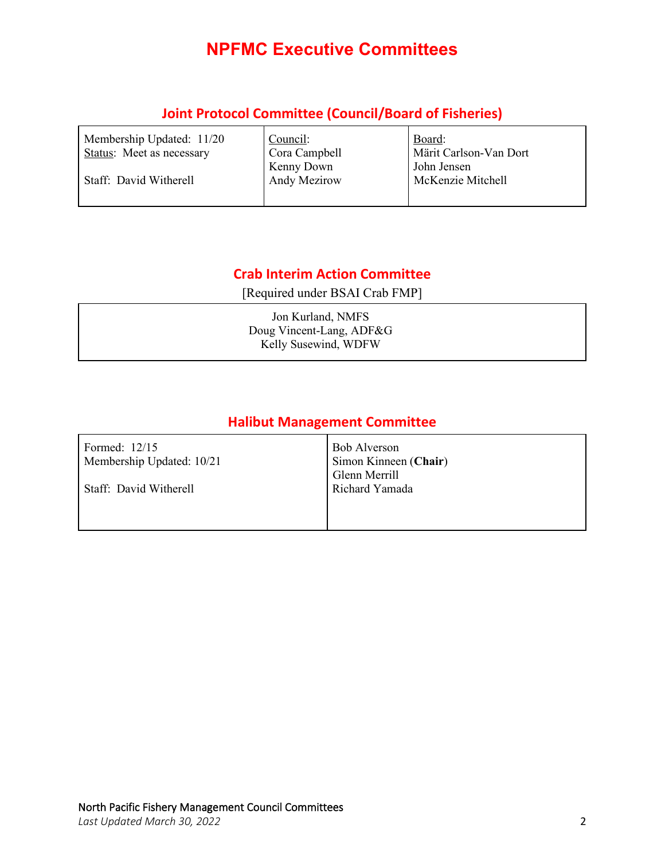# **NPFMC Executive Committees**

### **Joint Protocol Committee (Council/Board of Fisheries)**

| Membership Updated: 11/20<br><b>Status:</b> Meet as necessary | Council:<br>Cora Campbell | Board:<br>Märit Carlson-Van Dort |
|---------------------------------------------------------------|---------------------------|----------------------------------|
|                                                               | Kenny Down                | John Jensen                      |
| Staff: David Witherell                                        | Andy Mezirow              | McKenzie Mitchell                |
|                                                               |                           |                                  |

### **Crab Interim Action Committee**

[Required under BSAI Crab FMP]

Jon Kurland, NMFS Doug Vincent-Lang, ADF&G Kelly Susewind, WDFW

## **Halibut Management Committee**

| Formed: $12/15$<br>Membership Updated: 10/21 | Bob Alverson<br>Simon Kinneen (Chair)<br>Glenn Merrill |
|----------------------------------------------|--------------------------------------------------------|
| Staff: David Witherell                       | Richard Yamada                                         |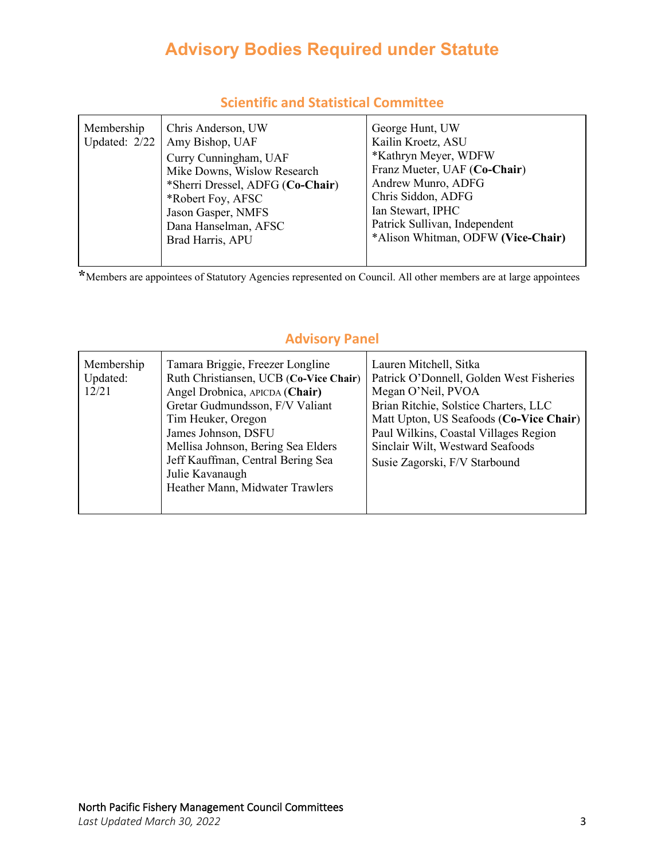# **Advisory Bodies Required under Statute**

| Membership<br>Updated: 2/22 | Chris Anderson, UW<br>Amy Bishop, UAF<br>Curry Cunningham, UAF<br>Mike Downs, Wislow Research<br>*Sherri Dressel, ADFG (Co-Chair)<br>*Robert Foy, AFSC<br>Jason Gasper, NMFS<br>Dana Hanselman, AFSC<br>Brad Harris, APU | George Hunt, UW<br>Kailin Kroetz, ASU<br>*Kathryn Meyer, WDFW<br>Franz Mueter, UAF (Co-Chair)<br>Andrew Munro, ADFG<br>Chris Siddon, ADFG<br>Ian Stewart, IPHC<br>Patrick Sullivan, Independent<br>*Alison Whitman, ODFW (Vice-Chair) |
|-----------------------------|--------------------------------------------------------------------------------------------------------------------------------------------------------------------------------------------------------------------------|---------------------------------------------------------------------------------------------------------------------------------------------------------------------------------------------------------------------------------------|
|-----------------------------|--------------------------------------------------------------------------------------------------------------------------------------------------------------------------------------------------------------------------|---------------------------------------------------------------------------------------------------------------------------------------------------------------------------------------------------------------------------------------|

#### **Scientific and Statistical Committee**

**\***Members are appointees of Statutory Agencies represented on Council. All other members are at large appointees

| Membership<br>Updated:<br>12/21 | Tamara Briggie, Freezer Longline<br>Ruth Christiansen, UCB (Co-Vice Chair)<br>Angel Drobnica, APICDA (Chair)<br>Gretar Gudmundsson, F/V Valiant<br>Tim Heuker, Oregon<br>James Johnson, DSFU<br>Mellisa Johnson, Bering Sea Elders<br>Jeff Kauffman, Central Bering Sea<br>Julie Kavanaugh<br>Heather Mann, Midwater Trawlers | Lauren Mitchell, Sitka<br>Patrick O'Donnell, Golden West Fisheries<br>Megan O'Neil, PVOA<br>Brian Ritchie, Solstice Charters, LLC<br>Matt Upton, US Seafoods (Co-Vice Chair)<br>Paul Wilkins, Coastal Villages Region<br>Sinclair Wilt, Westward Seafoods<br>Susie Zagorski, F/V Starbound |
|---------------------------------|-------------------------------------------------------------------------------------------------------------------------------------------------------------------------------------------------------------------------------------------------------------------------------------------------------------------------------|--------------------------------------------------------------------------------------------------------------------------------------------------------------------------------------------------------------------------------------------------------------------------------------------|
|---------------------------------|-------------------------------------------------------------------------------------------------------------------------------------------------------------------------------------------------------------------------------------------------------------------------------------------------------------------------------|--------------------------------------------------------------------------------------------------------------------------------------------------------------------------------------------------------------------------------------------------------------------------------------------|

### **Advisory Panel**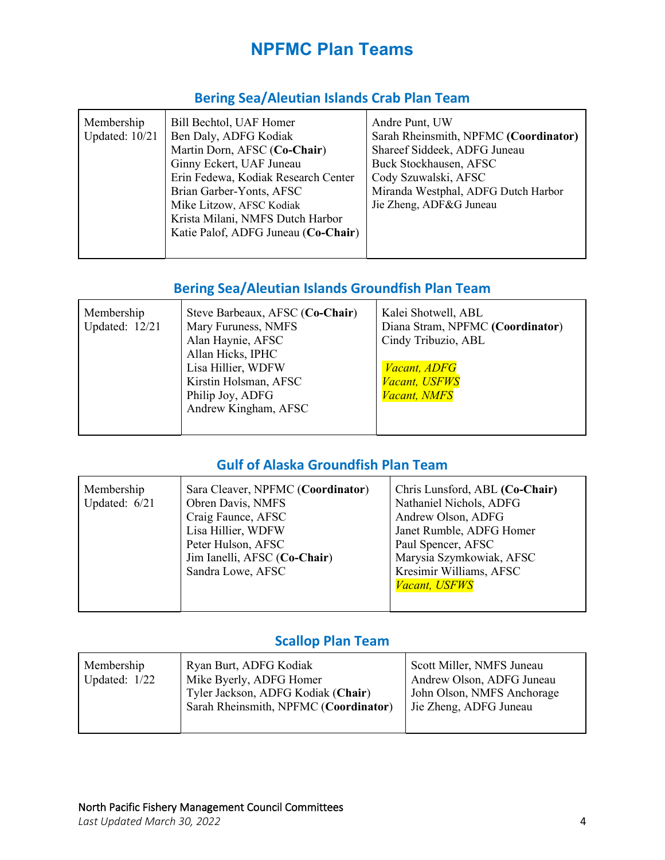# **NPFMC Plan Teams**

### **Bering Sea/Aleutian Islands Crab Plan Team**

| Membership            | Bill Bechtol, UAF Homer             | Andre Punt, UW                        |
|-----------------------|-------------------------------------|---------------------------------------|
|                       |                                     |                                       |
| <b>Updated: 10/21</b> | Ben Daly, ADFG Kodiak               | Sarah Rheinsmith, NPFMC (Coordinator) |
|                       | Martin Dorn, AFSC (Co-Chair)        | Shareef Siddeek, ADFG Juneau          |
|                       | Ginny Eckert, UAF Juneau            | Buck Stockhausen, AFSC                |
|                       | Erin Fedewa, Kodiak Research Center | Cody Szuwalski, AFSC                  |
|                       | Brian Garber-Yonts, AFSC            | Miranda Westphal, ADFG Dutch Harbor   |
|                       | Mike Litzow, AFSC Kodiak            | Jie Zheng, ADF&G Juneau               |
|                       | Krista Milani, NMFS Dutch Harbor    |                                       |
|                       | Katie Palof, ADFG Juneau (Co-Chair) |                                       |
|                       |                                     |                                       |
|                       |                                     |                                       |

### **Bering Sea/Aleutian Islands Groundfish Plan Team**

| Membership<br>Updated: 12/21 | Steve Barbeaux, AFSC (Co-Chair)<br>Mary Furuness, NMFS<br>Alan Haynie, AFSC<br>Allan Hicks, IPHC<br>Lisa Hillier, WDFW<br>Kirstin Holsman, AFSC<br>Philip Joy, ADFG<br>Andrew Kingham, AFSC | Kalei Shotwell, ABL<br>Diana Stram, NPFMC (Coordinator)<br>Cindy Tribuzio, ABL<br><b>Vacant</b> , ADFG<br>Vacant, USFWS<br><b>Vacant, NMFS</b> |
|------------------------------|---------------------------------------------------------------------------------------------------------------------------------------------------------------------------------------------|------------------------------------------------------------------------------------------------------------------------------------------------|
|                              |                                                                                                                                                                                             |                                                                                                                                                |

## **Gulf of Alaska Groundfish Plan Team**

| Membership<br>Sara Cleaver, NPFMC (Coordinator)<br>Updated: 6/21<br>Obren Davis, NMFS<br>Craig Faunce, AFSC<br>Lisa Hillier, WDFW<br>Peter Hulson, AFSC<br>Jim Ianelli, AFSC (Co-Chair)<br>Sandra Lowe, AFSC | Chris Lunsford, ABL (Co-Chair)<br>Nathaniel Nichols, ADFG<br>Andrew Olson, ADFG<br>Janet Rumble, ADFG Homer<br>Paul Spencer, AFSC<br>Marysia Szymkowiak, AFSC<br>Kresimir Williams, AFSC<br><b>Vacant</b> , USFWS |
|--------------------------------------------------------------------------------------------------------------------------------------------------------------------------------------------------------------|-------------------------------------------------------------------------------------------------------------------------------------------------------------------------------------------------------------------|
|--------------------------------------------------------------------------------------------------------------------------------------------------------------------------------------------------------------|-------------------------------------------------------------------------------------------------------------------------------------------------------------------------------------------------------------------|

### **Scallop Plan Team**

| Membership<br>Updated: $1/22$ | Ryan Burt, ADFG Kodiak<br>Mike Byerly, ADFG Homer<br>Tyler Jackson, ADFG Kodiak (Chair)<br>Sarah Rheinsmith, NPFMC (Coordinator) | Scott Miller, NMFS Juneau<br>Andrew Olson, ADFG Juneau<br>John Olson, NMFS Anchorage<br>Jie Zheng, ADFG Juneau |
|-------------------------------|----------------------------------------------------------------------------------------------------------------------------------|----------------------------------------------------------------------------------------------------------------|
|-------------------------------|----------------------------------------------------------------------------------------------------------------------------------|----------------------------------------------------------------------------------------------------------------|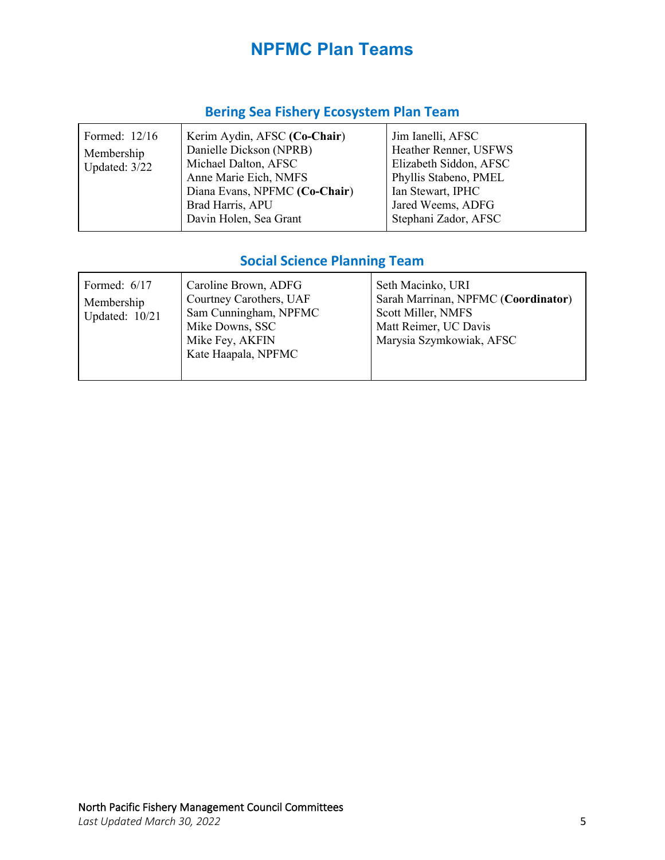# **NPFMC Plan Teams**

### **Bering Sea Fishery Ecosystem Plan Team**

| Kerim Aydin, AFSC (Co-Chair)<br>Formed: 12/16<br>Danielle Dickson (NPRB)<br>Membership<br>Michael Dalton, AFSC<br>Updated: 3/22<br>Anne Marie Eich, NMFS<br>Diana Evans, NPFMC (Co-Chair)<br>Brad Harris, APU<br>Davin Holen, Sea Grant | Jim Ianelli, AFSC<br>Heather Renner, USFWS<br>Elizabeth Siddon, AFSC<br>Phyllis Stabeno, PMEL<br>Ian Stewart, IPHC<br>Jared Weems, ADFG<br>Stephani Zador, AFSC |
|-----------------------------------------------------------------------------------------------------------------------------------------------------------------------------------------------------------------------------------------|-----------------------------------------------------------------------------------------------------------------------------------------------------------------|
|-----------------------------------------------------------------------------------------------------------------------------------------------------------------------------------------------------------------------------------------|-----------------------------------------------------------------------------------------------------------------------------------------------------------------|

## **Social Science Planning Team**

| Formed: $6/17$<br>Membership<br>Updated: 10/21 | Caroline Brown, ADFG<br>Courtney Carothers, UAF<br>Sam Cunningham, NPFMC<br>Mike Downs, SSC<br>Mike Fey, AKFIN<br>Kate Haapala, NPFMC | Seth Macinko, URI<br>Sarah Marrinan, NPFMC (Coordinator)<br>Scott Miller, NMFS<br>Matt Reimer, UC Davis<br>Marysia Szymkowiak, AFSC |
|------------------------------------------------|---------------------------------------------------------------------------------------------------------------------------------------|-------------------------------------------------------------------------------------------------------------------------------------|
|------------------------------------------------|---------------------------------------------------------------------------------------------------------------------------------------|-------------------------------------------------------------------------------------------------------------------------------------|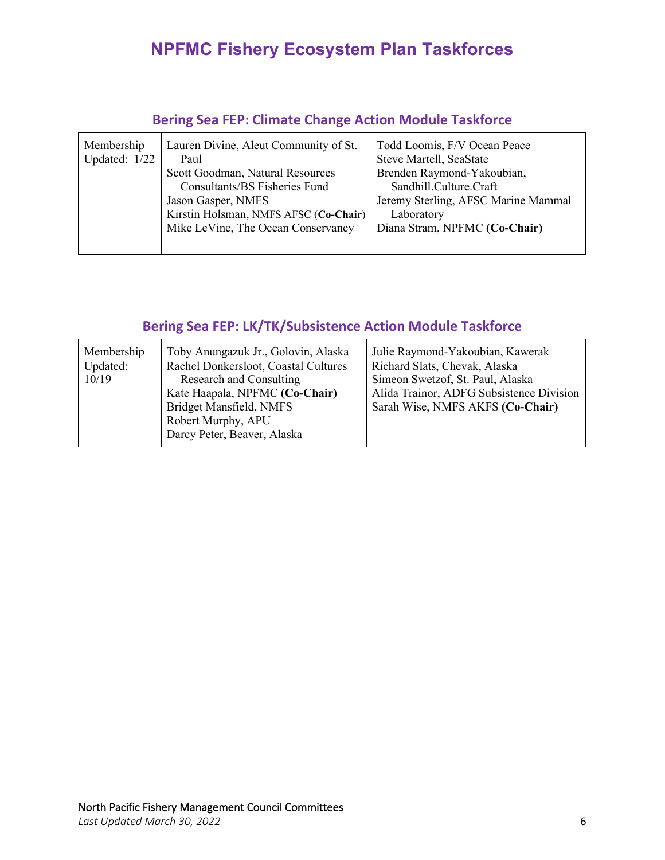# **NPFMC Fishery Ecosystem Plan Taskforces**

| Membership<br>Updated: $1/22$ | Lauren Divine, Aleut Community of St.<br>Paul<br>Scott Goodman, Natural Resources<br>Consultants/BS Fisheries Fund<br>Jason Gasper, NMFS<br>Kirstin Holsman, NMFS AFSC (Co-Chair)<br>Mike LeVine, The Ocean Conservancy | Todd Loomis, F/V Ocean Peace<br>Steve Martell, SeaState<br>Brenden Raymond-Yakoubian,<br>Sandhill.Culture.Craft<br>Jeremy Sterling, AFSC Marine Mammal<br>Laboratory<br>Diana Stram, NPFMC (Co-Chair) |
|-------------------------------|-------------------------------------------------------------------------------------------------------------------------------------------------------------------------------------------------------------------------|-------------------------------------------------------------------------------------------------------------------------------------------------------------------------------------------------------|
|                               |                                                                                                                                                                                                                         |                                                                                                                                                                                                       |

### **Bering Sea FEP: Climate Change Action Module Taskforce**

### **Bering Sea FEP: LK/TK/Subsistence Action Module Taskforce**

| Membership<br>Updated:<br>10/19 | Toby Anungazuk Jr., Golovin, Alaska<br>Rachel Donkersloot, Coastal Cultures<br>Research and Consulting<br>Kate Haapala, NPFMC (Co-Chair)<br>Bridget Mansfield, NMFS<br>Robert Murphy, APU<br>Darcy Peter, Beaver, Alaska | Julie Raymond-Yakoubian, Kawerak<br>Richard Slats, Chevak, Alaska<br>Simeon Swetzof, St. Paul, Alaska<br>Alida Trainor, ADFG Subsistence Division<br>Sarah Wise, NMFS AKFS (Co-Chair) |
|---------------------------------|--------------------------------------------------------------------------------------------------------------------------------------------------------------------------------------------------------------------------|---------------------------------------------------------------------------------------------------------------------------------------------------------------------------------------|
|---------------------------------|--------------------------------------------------------------------------------------------------------------------------------------------------------------------------------------------------------------------------|---------------------------------------------------------------------------------------------------------------------------------------------------------------------------------------|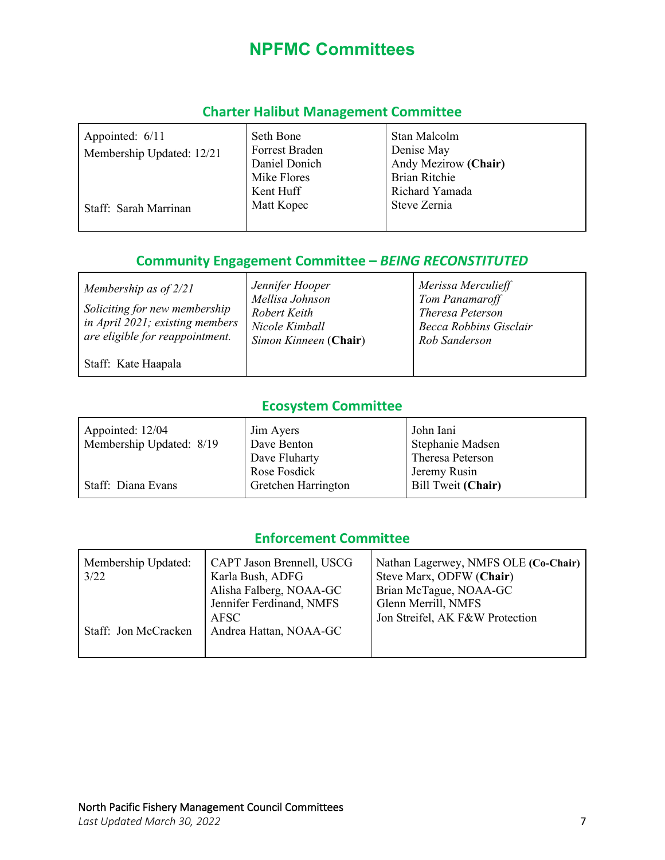# **NPFMC Committees**

### **Charter Halibut Management Committee**

| Appointed: 6/11<br>Membership Updated: 12/21 | Seth Bone<br>Forrest Braden<br>Daniel Donich<br>Mike Flores | Stan Malcolm<br>Denise May<br>Andy Mezirow (Chair)<br>Brian Ritchie |
|----------------------------------------------|-------------------------------------------------------------|---------------------------------------------------------------------|
| Staff: Sarah Marrinan                        | Kent Huff<br>Matt Kopec                                     | Richard Yamada<br>Steve Zernia                                      |

### **Community Engagement Committee –** *BEING RECONSTITUTED*

| Membership as of $2/21$<br>Soliciting for new membership<br>in April 2021; existing members<br>are eligible for reappointment. | Jennifer Hooper<br>Mellisa Johnson<br>Robert Keith<br>Nicole Kimball<br>Simon Kinneen (Chair) | Merissa Merculieff<br>Tom Panamaroff<br>Theresa Peterson<br><b>Becca Robbins Gisclair</b><br>Rob Sanderson |
|--------------------------------------------------------------------------------------------------------------------------------|-----------------------------------------------------------------------------------------------|------------------------------------------------------------------------------------------------------------|
| Staff: Kate Haapala                                                                                                            |                                                                                               |                                                                                                            |

### **Ecosystem Committee**

| Appointed: 12/04         | Jim Ayers           | John Iani          |
|--------------------------|---------------------|--------------------|
| Membership Updated: 8/19 | Dave Benton         | Stephanie Madsen   |
|                          | Dave Fluharty       | Theresa Peterson   |
|                          | Rose Fosdick        | Jeremy Rusin       |
| Staff: Diana Evans       | Gretchen Harrington | Bill Tweit (Chair) |

### **Enforcement Committee**

| Membership Updated:<br>3/22 | CAPT Jason Brennell, USCG<br>Karla Bush, ADFG<br>Alisha Falberg, NOAA-GC<br>Jennifer Ferdinand, NMFS | Nathan Lagerwey, NMFS OLE (Co-Chair)<br>Steve Marx, ODFW (Chair)<br>Brian McTague, NOAA-GC<br>Glenn Merrill, NMFS |
|-----------------------------|------------------------------------------------------------------------------------------------------|-------------------------------------------------------------------------------------------------------------------|
| Staff: Jon McCracken        | AFSC<br>Andrea Hattan, NOAA-GC                                                                       | Jon Streifel, AK F&W Protection                                                                                   |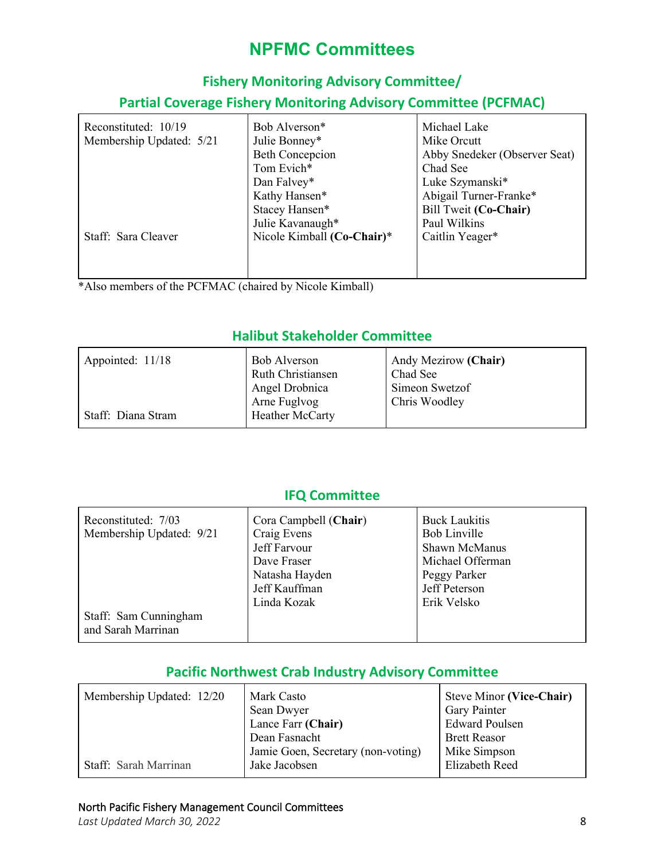# **NPFMC Committees**

### **Fishery Monitoring Advisory Committee/**

### **Partial Coverage Fishery Monitoring Advisory Committee (PCFMAC)**

| Reconstituted: 10/19     | Bob Alverson*              | Michael Lake                  |
|--------------------------|----------------------------|-------------------------------|
| Membership Updated: 5/21 | Julie Bonney*              | Mike Orcutt                   |
|                          | <b>Beth Concepcion</b>     | Abby Snedeker (Observer Seat) |
|                          | Tom Evich*                 | Chad See                      |
|                          | Dan Falvey*                | Luke Szymanski*               |
|                          | Kathy Hansen*              | Abigail Turner-Franke*        |
|                          | Stacey Hansen*             | Bill Tweit (Co-Chair)         |
|                          | Julie Kavanaugh*           | Paul Wilkins                  |
| Staff: Sara Cleaver      | Nicole Kimball (Co-Chair)* | Caitlin Yeager*               |
|                          |                            |                               |
|                          |                            |                               |
|                          |                            |                               |

\*Also members of the PCFMAC (chaired by Nicole Kimball)

### **Halibut Stakeholder Committee**

| Appointed: 11/18   | <b>Bob Alverson</b><br><b>Ruth Christiansen</b><br>Angel Drobnica<br>Arne Fuglvog | Andy Mezirow (Chair)<br>Chad See<br>Simeon Swetzof<br>Chris Woodley |
|--------------------|-----------------------------------------------------------------------------------|---------------------------------------------------------------------|
| Staff: Diana Stram | Heather McCarty                                                                   |                                                                     |

### **IFQ Committee**

| Reconstituted: 7/03      |                       | <b>Buck Laukitis</b> |
|--------------------------|-----------------------|----------------------|
|                          | Cora Campbell (Chair) |                      |
| Membership Updated: 9/21 | Craig Evens           | Bob Linville         |
|                          | Jeff Farvour          | Shawn McManus        |
|                          | Dave Fraser           | Michael Offerman     |
|                          | Natasha Hayden        | Peggy Parker         |
|                          | Jeff Kauffman         | Jeff Peterson        |
|                          | Linda Kozak           | Erik Velsko          |
| Staff: Sam Cunningham    |                       |                      |
| and Sarah Marrinan       |                       |                      |

### **Pacific Northwest Crab Industry Advisory Committee**

| Membership Updated: 12/20 | Mark Casto                         | Steve Minor (Vice-Chair) |
|---------------------------|------------------------------------|--------------------------|
|                           | Sean Dwyer                         | Gary Painter             |
|                           | Lance Farr (Chair)                 | <b>Edward Poulsen</b>    |
|                           | Dean Fasnacht                      | <b>Brett Reasor</b>      |
|                           | Jamie Goen, Secretary (non-voting) | Mike Simpson             |
| Staff: Sarah Marrinan     | Jake Jacobsen                      | Elizabeth Reed           |

#### North Pacific Fishery Management Council Committees